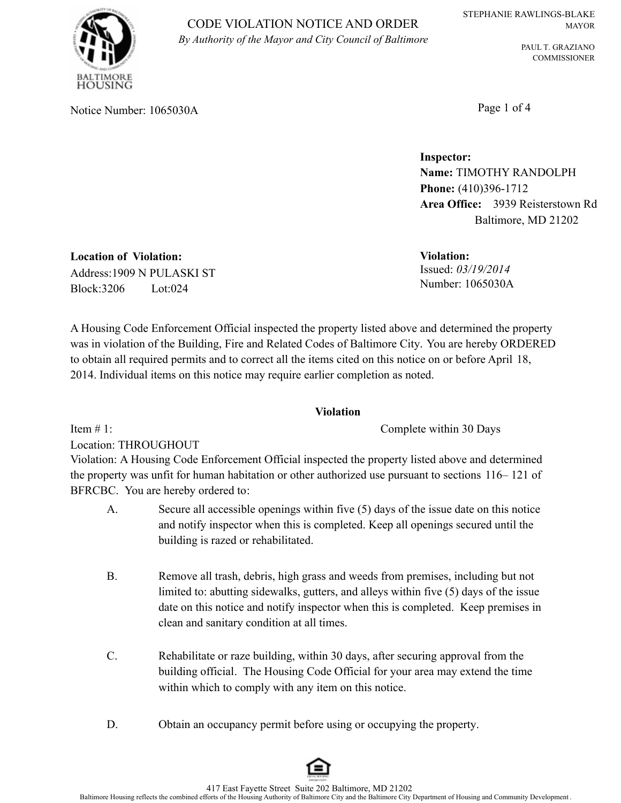PAUL T. GRAZIANO COMMISSIONER

USING

CODE VIOLATION NOTICE AND ORDER *By Authority of the Mayor and City Council of Baltimore*

Notice Number: 1065030A Page 1 of 4

**Inspector: Name:** TIMOTHY RANDOLPH **Phone:** (410)396-1712 **Area Office:** 3939 Reisterstown Rd Baltimore, MD 21202

Issued: *03/19/2014* **Violation:** Number: 1065030A

**Location of Violation:** Address:1909 N PULASKI ST Block:3206 Lot:024

A Housing Code Enforcement Official inspected the property listed above and determined the property was in violation of the Building, Fire and Related Codes of Baltimore City. You are hereby ORDERED to obtain all required permits and to correct all the items cited on this notice on or before April 18, 2014. Individual items on this notice may require earlier completion as noted.

# **Violation**

Complete within 30 Days

Location: THROUGHOUT

Item  $# 1$ :

Violation: A Housing Code Enforcement Official inspected the property listed above and determined the property was unfit for human habitation or other authorized use pursuant to sections 116– 121 of BFRCBC. You are hereby ordered to:

- A. Secure all accessible openings within five (5) days of the issue date on this notice and notify inspector when this is completed. Keep all openings secured until the building is razed or rehabilitated.
- B. Remove all trash, debris, high grass and weeds from premises, including but not limited to: abutting sidewalks, gutters, and alleys within five (5) days of the issue date on this notice and notify inspector when this is completed. Keep premises in clean and sanitary condition at all times.
- C. Rehabilitate or raze building, within 30 days, after securing approval from the building official. The Housing Code Official for your area may extend the time within which to comply with any item on this notice.
- D. Obtain an occupancy permit before using or occupying the property.

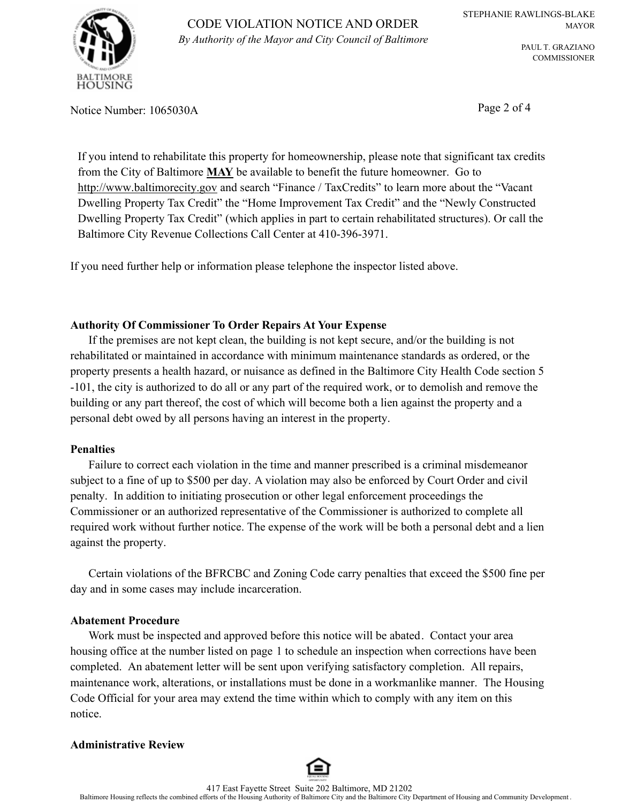

PAUL T. GRAZIANO COMMISSIONER

Notice Number: 1065030A Page 2 of 4

If you intend to rehabilitate this property for homeownership, please note that significant tax credits from the City of Baltimore **MAY** be available to benefit the future homeowner. Go to http://www.baltimorecity.gov and search "Finance / TaxCredits" to learn more about the "Vacant" Dwelling Property Tax Credit" the "Home Improvement Tax Credit" and the "Newly Constructed Dwelling Property Tax Credit" (which applies in part to certain rehabilitated structures). Or call the Baltimore City Revenue Collections Call Center at 410-396-3971.

If you need further help or information please telephone the inspector listed above.

## **Authority Of Commissioner To Order Repairs At Your Expense**

If the premises are not kept clean, the building is not kept secure, and/or the building is not rehabilitated or maintained in accordance with minimum maintenance standards as ordered, or the property presents a health hazard, or nuisance as defined in the Baltimore City Health Code section 5 -101, the city is authorized to do all or any part of the required work, or to demolish and remove the building or any part thereof, the cost of which will become both a lien against the property and a personal debt owed by all persons having an interest in the property.

#### **Penalties**

Failure to correct each violation in the time and manner prescribed is a criminal misdemeanor subject to a fine of up to \$500 per day. A violation may also be enforced by Court Order and civil penalty. In addition to initiating prosecution or other legal enforcement proceedings the Commissioner or an authorized representative of the Commissioner is authorized to complete all required work without further notice. The expense of the work will be both a personal debt and a lien against the property.

Certain violations of the BFRCBC and Zoning Code carry penalties that exceed the \$500 fine per day and in some cases may include incarceration.

#### **Abatement Procedure**

Work must be inspected and approved before this notice will be abated. Contact your area housing office at the number listed on page 1 to schedule an inspection when corrections have been completed. An abatement letter will be sent upon verifying satisfactory completion. All repairs, maintenance work, alterations, or installations must be done in a workmanlike manner. The Housing Code Official for your area may extend the time within which to comply with any item on this notice.

#### **Administrative Review**

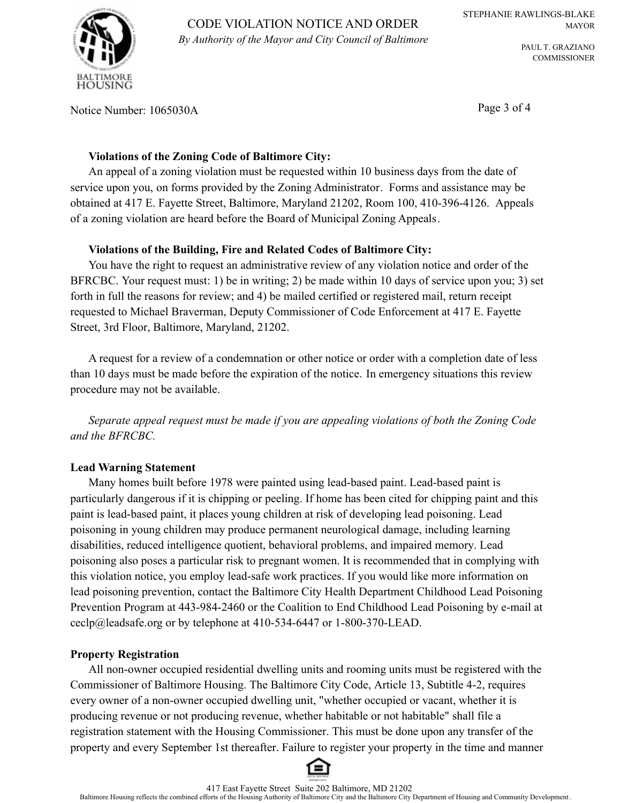

CODE VIOLATION NOTICE AND ORDER *By Authority of the Mayor and City Council of Baltimore*

PAUL T. GRAZIANO COMMISSIONER

Notice Number: 1065030A Page 3 of 4

## **Violations of the Zoning Code of Baltimore City:**

An appeal of a zoning violation must be requested within 10 business days from the date of service upon you, on forms provided by the Zoning Administrator. Forms and assistance may be obtained at 417 E. Fayette Street, Baltimore, Maryland 21202, Room 100, 410-396-4126. Appeals of a zoning violation are heard before the Board of Municipal Zoning Appeals.

## **Violations of the Building, Fire and Related Codes of Baltimore City:**

You have the right to request an administrative review of any violation notice and order of the BFRCBC. Your request must: 1) be in writing; 2) be made within 10 days of service upon you; 3) set forth in full the reasons for review; and 4) be mailed certified or registered mail, return receipt requested to Michael Braverman, Deputy Commissioner of Code Enforcement at 417 E. Fayette Street, 3rd Floor, Baltimore, Maryland, 21202.

A request for a review of a condemnation or other notice or order with a completion date of less than 10 days must be made before the expiration of the notice. In emergency situations this review procedure may not be available.

*Separate appeal request must be made if you are appealing violations of both the Zoning Code and the BFRCBC.*

# **Lead Warning Statement**

Many homes built before 1978 were painted using lead-based paint. Lead-based paint is particularly dangerous if it is chipping or peeling. If home has been cited for chipping paint and this paint is lead-based paint, it places young children at risk of developing lead poisoning. Lead poisoning in young children may produce permanent neurological damage, including learning disabilities, reduced intelligence quotient, behavioral problems, and impaired memory. Lead poisoning also poses a particular risk to pregnant women. It is recommended that in complying with this violation notice, you employ lead-safe work practices. If you would like more information on lead poisoning prevention, contact the Baltimore City Health Department Childhood Lead Poisoning Prevention Program at 443-984-2460 or the Coalition to End Childhood Lead Poisoning by e-mail at ceclp@leadsafe.org or by telephone at 410-534-6447 or 1-800-370-LEAD.

#### **Property Registration**

All non-owner occupied residential dwelling units and rooming units must be registered with the Commissioner of Baltimore Housing. The Baltimore City Code, Article 13, Subtitle 4-2, requires every owner of a non-owner occupied dwelling unit, "whether occupied or vacant, whether it is producing revenue or not producing revenue, whether habitable or not habitable" shall file a registration statement with the Housing Commissioner. This must be done upon any transfer of the property and every September 1st thereafter. Failure to register your property in the time and manner